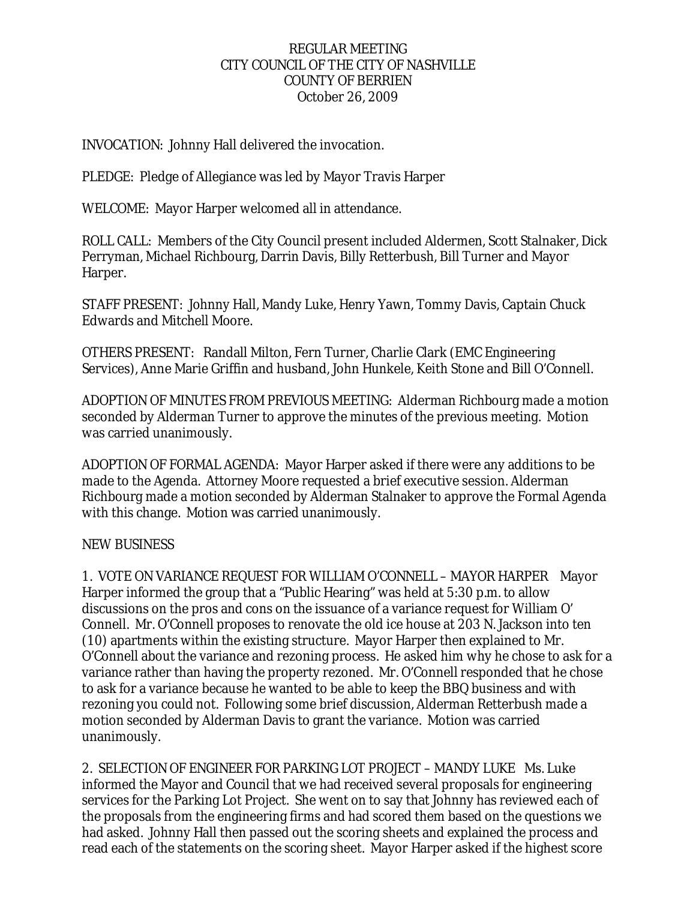### REGULAR MEETING CITY COUNCIL OF THE CITY OF NASHVILLE COUNTY OF BERRIEN October 26, 2009

## INVOCATION: Johnny Hall delivered the invocation.

PLEDGE: Pledge of Allegiance was led by Mayor Travis Harper

WELCOME: Mayor Harper welcomed all in attendance.

ROLL CALL: Members of the City Council present included Aldermen, Scott Stalnaker, Dick Perryman, Michael Richbourg, Darrin Davis, Billy Retterbush, Bill Turner and Mayor Harper.

STAFF PRESENT: Johnny Hall, Mandy Luke, Henry Yawn, Tommy Davis, Captain Chuck Edwards and Mitchell Moore.

OTHERS PRESENT: Randall Milton, Fern Turner, Charlie Clark (EMC Engineering Services), Anne Marie Griffin and husband, John Hunkele, Keith Stone and Bill O'Connell.

ADOPTION OF MINUTES FROM PREVIOUS MEETING: Alderman Richbourg made a motion seconded by Alderman Turner to approve the minutes of the previous meeting. Motion was carried unanimously.

ADOPTION OF FORMAL AGENDA: Mayor Harper asked if there were any additions to be made to the Agenda. Attorney Moore requested a brief executive session. Alderman Richbourg made a motion seconded by Alderman Stalnaker to approve the Formal Agenda with this change. Motion was carried unanimously.

### NEW BUSINESS

1. VOTE ON VARIANCE REQUEST FOR WILLIAM O'CONNELL – MAYOR HARPER Mayor Harper informed the group that a "Public Hearing" was held at 5:30 p.m. to allow discussions on the pros and cons on the issuance of a variance request for William O' Connell. Mr. O'Connell proposes to renovate the old ice house at 203 N. Jackson into ten (10) apartments within the existing structure. Mayor Harper then explained to Mr. O'Connell about the variance and rezoning process. He asked him why he chose to ask for a variance rather than having the property rezoned. Mr. O'Connell responded that he chose to ask for a variance because he wanted to be able to keep the BBQ business and with rezoning you could not. Following some brief discussion, Alderman Retterbush made a motion seconded by Alderman Davis to grant the variance. Motion was carried unanimously.

2. SELECTION OF ENGINEER FOR PARKING LOT PROJECT – MANDY LUKE Ms. Luke informed the Mayor and Council that we had received several proposals for engineering services for the Parking Lot Project. She went on to say that Johnny has reviewed each of the proposals from the engineering firms and had scored them based on the questions we had asked. Johnny Hall then passed out the scoring sheets and explained the process and read each of the statements on the scoring sheet. Mayor Harper asked if the highest score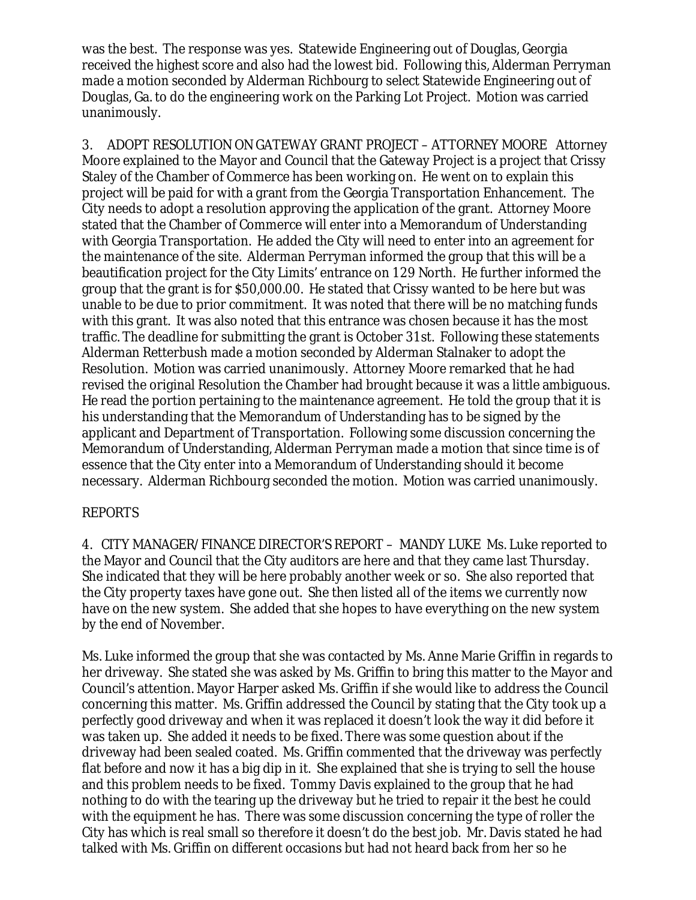was the best. The response was yes. Statewide Engineering out of Douglas, Georgia received the highest score and also had the lowest bid. Following this, Alderman Perryman made a motion seconded by Alderman Richbourg to select Statewide Engineering out of Douglas, Ga. to do the engineering work on the Parking Lot Project. Motion was carried unanimously.

3. ADOPT RESOLUTION ON GATEWAY GRANT PROJECT – ATTORNEY MOORE Attorney Moore explained to the Mayor and Council that the Gateway Project is a project that Crissy Staley of the Chamber of Commerce has been working on. He went on to explain this project will be paid for with a grant from the Georgia Transportation Enhancement. The City needs to adopt a resolution approving the application of the grant. Attorney Moore stated that the Chamber of Commerce will enter into a Memorandum of Understanding with Georgia Transportation. He added the City will need to enter into an agreement for the maintenance of the site. Alderman Perryman informed the group that this will be a beautification project for the City Limits' entrance on 129 North. He further informed the group that the grant is for \$50,000.00. He stated that Crissy wanted to be here but was unable to be due to prior commitment. It was noted that there will be no matching funds with this grant. It was also noted that this entrance was chosen because it has the most traffic. The deadline for submitting the grant is October 31st. Following these statements Alderman Retterbush made a motion seconded by Alderman Stalnaker to adopt the Resolution. Motion was carried unanimously. Attorney Moore remarked that he had revised the original Resolution the Chamber had brought because it was a little ambiguous. He read the portion pertaining to the maintenance agreement. He told the group that it is his understanding that the Memorandum of Understanding has to be signed by the applicant and Department of Transportation. Following some discussion concerning the Memorandum of Understanding, Alderman Perryman made a motion that since time is of essence that the City enter into a Memorandum of Understanding should it become necessary. Alderman Richbourg seconded the motion. Motion was carried unanimously.

### REPORTS

4. CITY MANAGER/FINANCE DIRECTOR'S REPORT – MANDY LUKE Ms. Luke reported to the Mayor and Council that the City auditors are here and that they came last Thursday. She indicated that they will be here probably another week or so. She also reported that the City property taxes have gone out. She then listed all of the items we currently now have on the new system. She added that she hopes to have everything on the new system by the end of November.

Ms. Luke informed the group that she was contacted by Ms. Anne Marie Griffin in regards to her driveway. She stated she was asked by Ms. Griffin to bring this matter to the Mayor and Council's attention. Mayor Harper asked Ms. Griffin if she would like to address the Council concerning this matter. Ms. Griffin addressed the Council by stating that the City took up a perfectly good driveway and when it was replaced it doesn't look the way it did before it was taken up. She added it needs to be fixed. There was some question about if the driveway had been sealed coated. Ms. Griffin commented that the driveway was perfectly flat before and now it has a big dip in it. She explained that she is trying to sell the house and this problem needs to be fixed. Tommy Davis explained to the group that he had nothing to do with the tearing up the driveway but he tried to repair it the best he could with the equipment he has. There was some discussion concerning the type of roller the City has which is real small so therefore it doesn't do the best job. Mr. Davis stated he had talked with Ms. Griffin on different occasions but had not heard back from her so he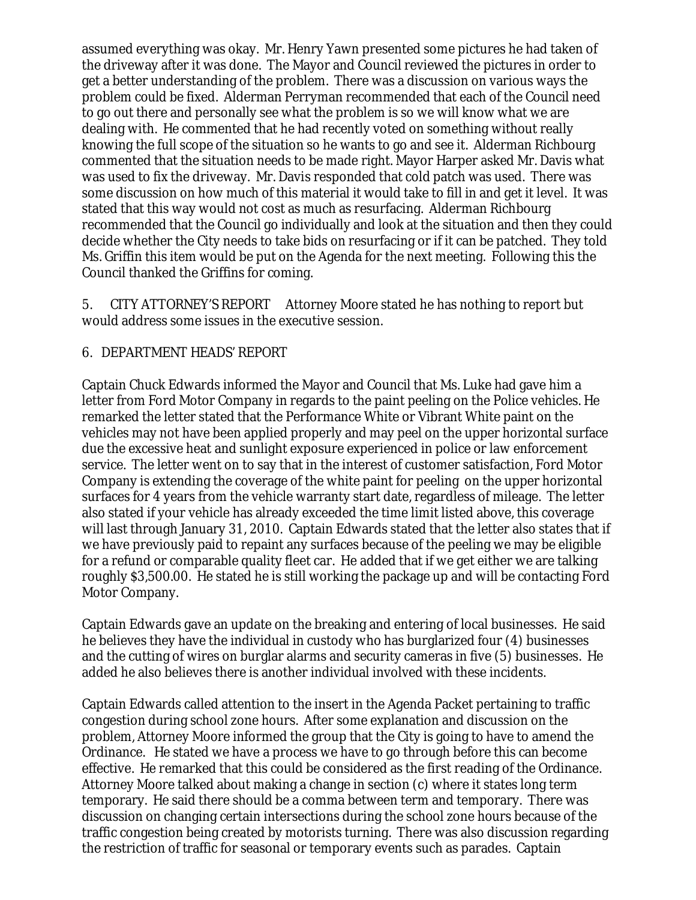assumed everything was okay. Mr. Henry Yawn presented some pictures he had taken of the driveway after it was done. The Mayor and Council reviewed the pictures in order to get a better understanding of the problem. There was a discussion on various ways the problem could be fixed. Alderman Perryman recommended that each of the Council need to go out there and personally see what the problem is so we will know what we are dealing with. He commented that he had recently voted on something without really knowing the full scope of the situation so he wants to go and see it. Alderman Richbourg commented that the situation needs to be made right. Mayor Harper asked Mr. Davis what was used to fix the driveway. Mr. Davis responded that cold patch was used. There was some discussion on how much of this material it would take to fill in and get it level. It was stated that this way would not cost as much as resurfacing. Alderman Richbourg recommended that the Council go individually and look at the situation and then they could decide whether the City needs to take bids on resurfacing or if it can be patched. They told Ms. Griffin this item would be put on the Agenda for the next meeting. Following this the Council thanked the Griffins for coming.

5. CITY ATTORNEY'S REPORT Attorney Moore stated he has nothing to report but would address some issues in the executive session.

### 6. DEPARTMENT HEADS' REPORT

Captain Chuck Edwards informed the Mayor and Council that Ms. Luke had gave him a letter from Ford Motor Company in regards to the paint peeling on the Police vehicles. He remarked the letter stated that the Performance White or Vibrant White paint on the vehicles may not have been applied properly and may peel on the upper horizontal surface due the excessive heat and sunlight exposure experienced in police or law enforcement service. The letter went on to say that in the interest of customer satisfaction, Ford Motor Company is extending the coverage of the white paint for peeling on the upper horizontal surfaces for 4 years from the vehicle warranty start date, regardless of mileage. The letter also stated if your vehicle has already exceeded the time limit listed above, this coverage will last through January 31, 2010. Captain Edwards stated that the letter also states that if we have previously paid to repaint any surfaces because of the peeling we may be eligible for a refund or comparable quality fleet car. He added that if we get either we are talking roughly \$3,500.00. He stated he is still working the package up and will be contacting Ford Motor Company.

Captain Edwards gave an update on the breaking and entering of local businesses. He said he believes they have the individual in custody who has burglarized four (4) businesses and the cutting of wires on burglar alarms and security cameras in five (5) businesses. He added he also believes there is another individual involved with these incidents.

Captain Edwards called attention to the insert in the Agenda Packet pertaining to traffic congestion during school zone hours. After some explanation and discussion on the problem, Attorney Moore informed the group that the City is going to have to amend the Ordinance. He stated we have a process we have to go through before this can become effective. He remarked that this could be considered as the first reading of the Ordinance. Attorney Moore talked about making a change in section (c) where it states long term temporary. He said there should be a comma between term and temporary. There was discussion on changing certain intersections during the school zone hours because of the traffic congestion being created by motorists turning. There was also discussion regarding the restriction of traffic for seasonal or temporary events such as parades. Captain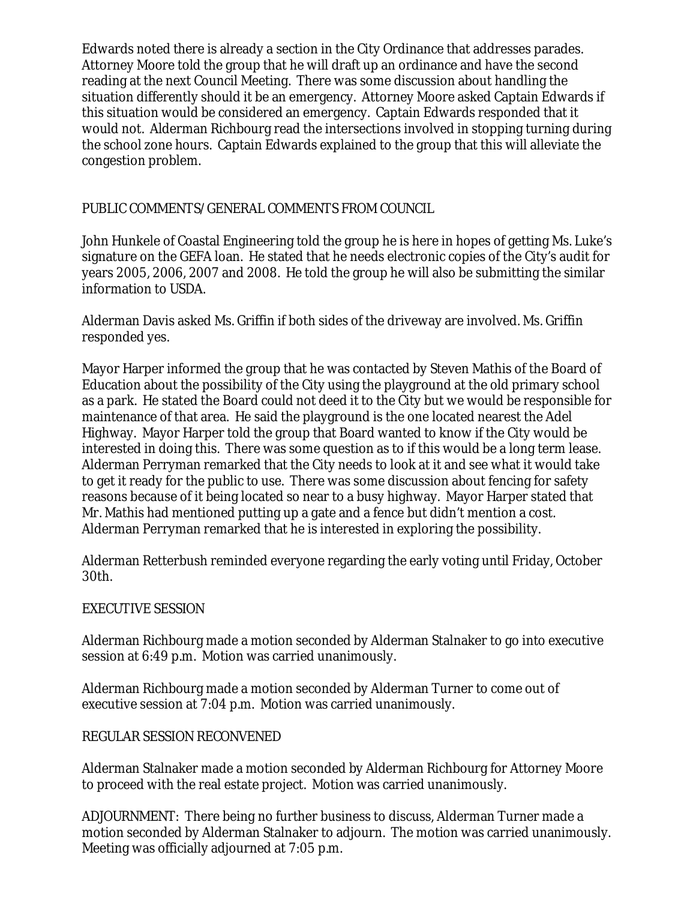Edwards noted there is already a section in the City Ordinance that addresses parades. Attorney Moore told the group that he will draft up an ordinance and have the second reading at the next Council Meeting. There was some discussion about handling the situation differently should it be an emergency. Attorney Moore asked Captain Edwards if this situation would be considered an emergency. Captain Edwards responded that it would not. Alderman Richbourg read the intersections involved in stopping turning during the school zone hours. Captain Edwards explained to the group that this will alleviate the congestion problem.

# PUBLIC COMMENTS/GENERAL COMMENTS FROM COUNCIL

John Hunkele of Coastal Engineering told the group he is here in hopes of getting Ms. Luke's signature on the GEFA loan. He stated that he needs electronic copies of the City's audit for years 2005, 2006, 2007 and 2008. He told the group he will also be submitting the similar information to USDA.

Alderman Davis asked Ms. Griffin if both sides of the driveway are involved. Ms. Griffin responded yes.

Mayor Harper informed the group that he was contacted by Steven Mathis of the Board of Education about the possibility of the City using the playground at the old primary school as a park. He stated the Board could not deed it to the City but we would be responsible for maintenance of that area. He said the playground is the one located nearest the Adel Highway. Mayor Harper told the group that Board wanted to know if the City would be interested in doing this. There was some question as to if this would be a long term lease. Alderman Perryman remarked that the City needs to look at it and see what it would take to get it ready for the public to use. There was some discussion about fencing for safety reasons because of it being located so near to a busy highway. Mayor Harper stated that Mr. Mathis had mentioned putting up a gate and a fence but didn't mention a cost. Alderman Perryman remarked that he is interested in exploring the possibility.

Alderman Retterbush reminded everyone regarding the early voting until Friday, October 30th.

### EXECUTIVE SESSION

Alderman Richbourg made a motion seconded by Alderman Stalnaker to go into executive session at 6:49 p.m. Motion was carried unanimously.

Alderman Richbourg made a motion seconded by Alderman Turner to come out of executive session at 7:04 p.m. Motion was carried unanimously.

### REGULAR SESSION RECONVENED

Alderman Stalnaker made a motion seconded by Alderman Richbourg for Attorney Moore to proceed with the real estate project. Motion was carried unanimously.

ADJOURNMENT: There being no further business to discuss, Alderman Turner made a motion seconded by Alderman Stalnaker to adjourn. The motion was carried unanimously. Meeting was officially adjourned at 7:05 p.m.